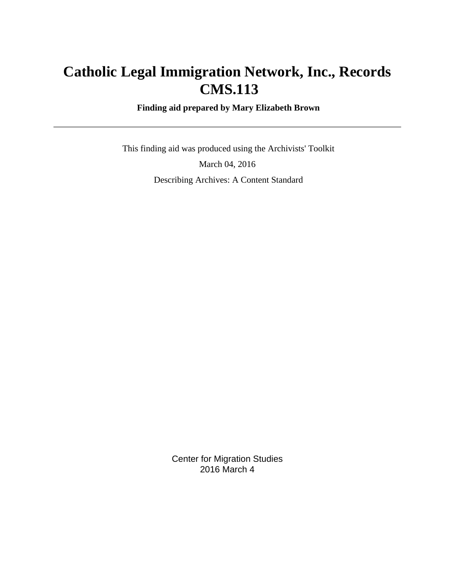# **Catholic Legal Immigration Network, Inc., Records CMS.113**

 **Finding aid prepared by Mary Elizabeth Brown**

 This finding aid was produced using the Archivists' Toolkit March 04, 2016 Describing Archives: A Content Standard

> Center for Migration Studies 2016 March 4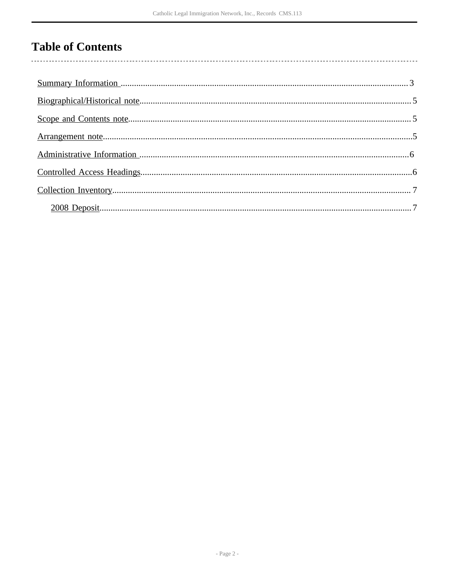# **Table of Contents**

 $\overline{\phantom{a}}$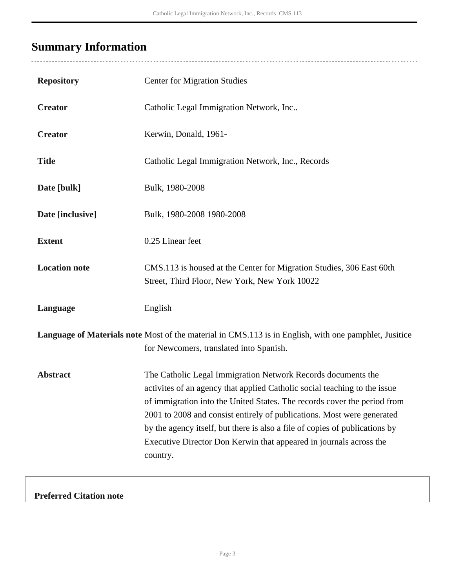# <span id="page-2-0"></span>**Summary Information**

| <b>Repository</b>                                                                                                                                | <b>Center for Migration Studies</b>                                                                                                                                                                                                                                                                                                                                                                                                                              |  |  |  |
|--------------------------------------------------------------------------------------------------------------------------------------------------|------------------------------------------------------------------------------------------------------------------------------------------------------------------------------------------------------------------------------------------------------------------------------------------------------------------------------------------------------------------------------------------------------------------------------------------------------------------|--|--|--|
| <b>Creator</b>                                                                                                                                   | Catholic Legal Immigration Network, Inc                                                                                                                                                                                                                                                                                                                                                                                                                          |  |  |  |
| <b>Creator</b>                                                                                                                                   | Kerwin, Donald, 1961-                                                                                                                                                                                                                                                                                                                                                                                                                                            |  |  |  |
| <b>Title</b>                                                                                                                                     | Catholic Legal Immigration Network, Inc., Records                                                                                                                                                                                                                                                                                                                                                                                                                |  |  |  |
| Date [bulk]                                                                                                                                      | Bulk, 1980-2008                                                                                                                                                                                                                                                                                                                                                                                                                                                  |  |  |  |
| Date [inclusive]                                                                                                                                 | Bulk, 1980-2008 1980-2008                                                                                                                                                                                                                                                                                                                                                                                                                                        |  |  |  |
| <b>Extent</b>                                                                                                                                    | 0.25 Linear feet                                                                                                                                                                                                                                                                                                                                                                                                                                                 |  |  |  |
| <b>Location note</b>                                                                                                                             | CMS.113 is housed at the Center for Migration Studies, 306 East 60th<br>Street, Third Floor, New York, New York 10022                                                                                                                                                                                                                                                                                                                                            |  |  |  |
| Language                                                                                                                                         | English                                                                                                                                                                                                                                                                                                                                                                                                                                                          |  |  |  |
| Language of Materials note Most of the material in CMS.113 is in English, with one pamphlet, Jusitice<br>for Newcomers, translated into Spanish. |                                                                                                                                                                                                                                                                                                                                                                                                                                                                  |  |  |  |
| <b>Abstract</b>                                                                                                                                  | The Catholic Legal Immigration Network Records documents the<br>activites of an agency that applied Catholic social teaching to the issue<br>of immigration into the United States. The records cover the period from<br>2001 to 2008 and consist entirely of publications. Most were generated<br>by the agency itself, but there is also a file of copies of publications by<br>Executive Director Don Kerwin that appeared in journals across the<br>country. |  |  |  |

## **Preferred Citation note**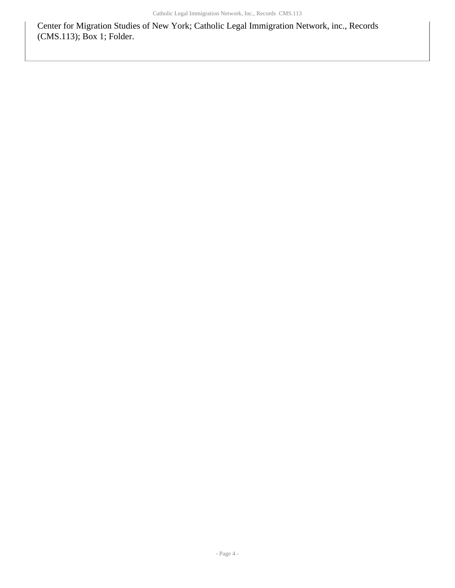Center for Migration Studies of New York; Catholic Legal Immigration Network, inc., Records (CMS.113); Box 1; Folder.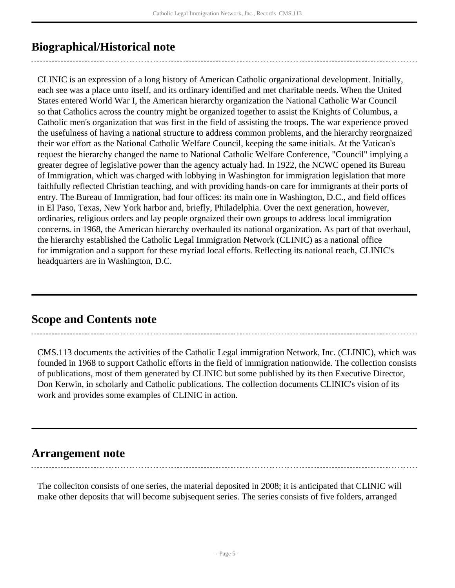# <span id="page-4-0"></span>**Biographical/Historical note**

CLINIC is an expression of a long history of American Catholic organizational development. Initially, each see was a place unto itself, and its ordinary identified and met charitable needs. When the United States entered World War I, the American hierarchy organization the National Catholic War Council so that Catholics across the country might be organized together to assist the Knights of Columbus, a Catholic men's organization that was first in the field of assisting the troops. The war experience proved the usefulness of having a national structure to address common problems, and the hierarchy reorgnaized their war effort as the National Catholic Welfare Council, keeping the same initials. At the Vatican's request the hierarchy changed the name to National Catholic Welfare Conference, "Council" implying a greater degree of legislative power than the agency actualy had. In 1922, the NCWC opened its Bureau of Immigration, which was charged with lobbying in Washington for immigration legislation that more faithfully reflected Christian teaching, and with providing hands-on care for immigrants at their ports of entry. The Bureau of Immigration, had four offices: its main one in Washington, D.C., and field offices in El Paso, Texas, New York harbor and, briefly, Philadelphia. Over the next generation, however, ordinaries, religious orders and lay people orgnaized their own groups to address local immigration concerns. in 1968, the American hierarchy overhauled its national organization. As part of that overhaul, the hierarchy established the Catholic Legal Immigration Network (CLINIC) as a national office for immigration and a support for these myriad local efforts. Reflecting its national reach, CLINIC's headquarters are in Washington, D.C.

## <span id="page-4-1"></span>**Scope and Contents note**

CMS.113 documents the activities of the Catholic Legal immigration Network, Inc. (CLINIC), which was founded in 1968 to support Catholic efforts in the field of immigration nationwide. The collection consists of publications, most of them generated by CLINIC but some published by its then Executive Director, Don Kerwin, in scholarly and Catholic publications. The collection documents CLINIC's vision of its work and provides some examples of CLINIC in action.

## <span id="page-4-2"></span>**Arrangement note**

The colleciton consists of one series, the material deposited in 2008; it is anticipated that CLINIC will make other deposits that will become subjsequent series. The series consists of five folders, arranged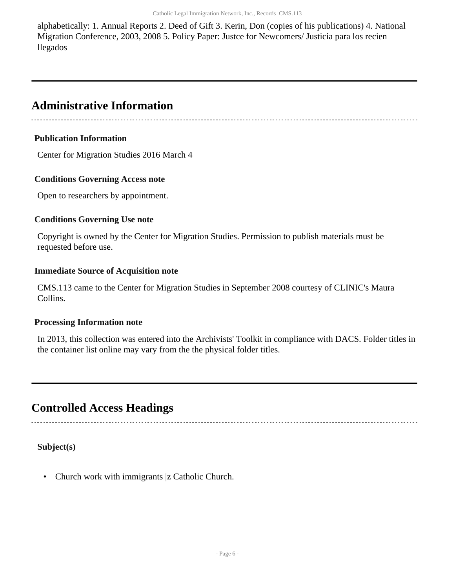alphabetically: 1. Annual Reports 2. Deed of Gift 3. Kerin, Don (copies of his publications) 4. National Migration Conference, 2003, 2008 5. Policy Paper: Justce for Newcomers/ Justicia para los recien llegados

## <span id="page-5-0"></span>**Administrative Information**

### **Publication Information**

Center for Migration Studies 2016 March 4

### **Conditions Governing Access note**

Open to researchers by appointment.

### **Conditions Governing Use note**

Copyright is owned by the Center for Migration Studies. Permission to publish materials must be requested before use.

### **Immediate Source of Acquisition note**

CMS.113 came to the Center for Migration Studies in September 2008 courtesy of CLINIC's Maura Collins.

### **Processing Information note**

In 2013, this collection was entered into the Archivists' Toolkit in compliance with DACS. Folder titles in the container list online may vary from the the physical folder titles.

## <span id="page-5-1"></span>**Controlled Access Headings**

**Subject(s)**

• Church work with immigrants |z Catholic Church.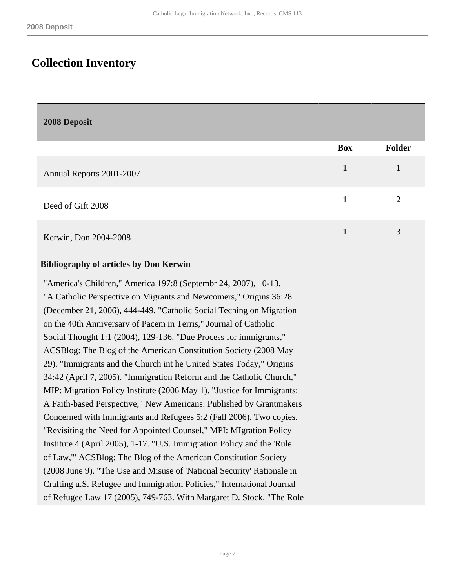## <span id="page-6-0"></span>**Collection Inventory**

<span id="page-6-1"></span>**2008 Deposit** 

|                          | <b>Box</b> | Folder         |
|--------------------------|------------|----------------|
| Annual Reports 2001-2007 |            |                |
| Deed of Gift 2008        |            | $\overline{2}$ |
| Kerwin, Don 2004-2008    |            | 3              |

#### **Bibliography of articles by Don Kerwin**

"America's Children," America 197:8 (Septembr 24, 2007), 10-13. "A Catholic Perspective on Migrants and Newcomers," Origins 36:28 (December 21, 2006), 444-449. "Catholic Social Teching on Migration on the 40th Anniversary of Pacem in Terris," Journal of Catholic Social Thought 1:1 (2004), 129-136. "Due Process for immigrants," ACSBlog: The Blog of the American Constitution Society (2008 May 29). "Immigrants and the Church int he United States Today," Origins 34:42 (April 7, 2005). "Immigration Reform and the Catholic Church," MIP: Migration Policy Institute (2006 May 1). "Justice for Immigrants: A Faith-based Perspective," New Americans: Published by Grantmakers Concerned with Immigrants and Refugees 5:2 (Fall 2006). Two copies. "Revisiting the Need for Appointed Counsel," MPI: MIgration Policy Institute 4 (April 2005), 1-17. "U.S. Immigration Policy and the 'Rule of Law,'" ACSBlog: The Blog of the American Constitution Society (2008 June 9). "The Use and Misuse of 'National Security' Rationale in Crafting u.S. Refugee and Immigration Policies," International Journal of Refugee Law 17 (2005), 749-763. With Margaret D. Stock. "The Role